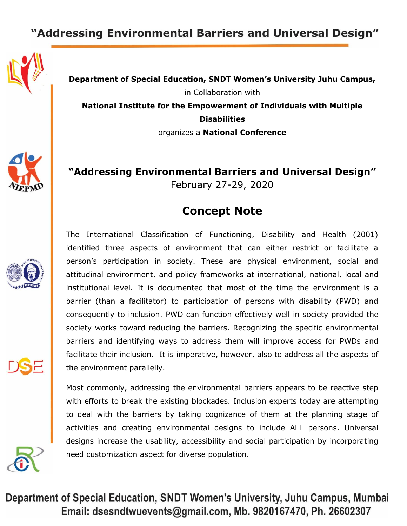## "Addressing Environmental Barriers and Universal Design"









**Department of Special Education, SNDT Women's University Juhu Campus,** in Collaboration with **National Institute for the Empowerment of Individuals with Multiple Disabilities** organizes a **National Conference**

**"Addressing Environmental Barriers and Universal Design"** February 27-29, 2020

## **Concept Note**

The International Classification of Functioning, Disability and Health (2001) identified three aspects of environment that can either restrict or facilitate a person's participation in society. These are physical environment, social and attitudinal environment, and policy frameworks at international, national, local and institutional level. It is documented that most of the time the environment is a barrier (than a facilitator) to participation of persons with disability (PWD) and consequently to inclusion. PWD can function effectively well in society provided the society works toward reducing the barriers. Recognizing the specific environmental barriers and identifying ways to address them will improve access for PWDs and facilitate their inclusion. It is imperative, however, also to address all the aspects of the environment parallelly.

Most commonly, addressing the environmental barriers appears to be reactive step with efforts to break the existing blockades. Inclusion experts today are attempting to deal with the barriers by taking cognizance of them at the planning stage of activities and creating environmental designs to include ALL persons. Universal designs increase the usability, accessibility and social participation by incorporating need customization aspect for diverse population.

Department of Special Education, SNDT Women's University, Juhu Campus, Mumbai Email: dsesndtwuevents@gmail.com, Mb. 9820167470, Ph. 26602307